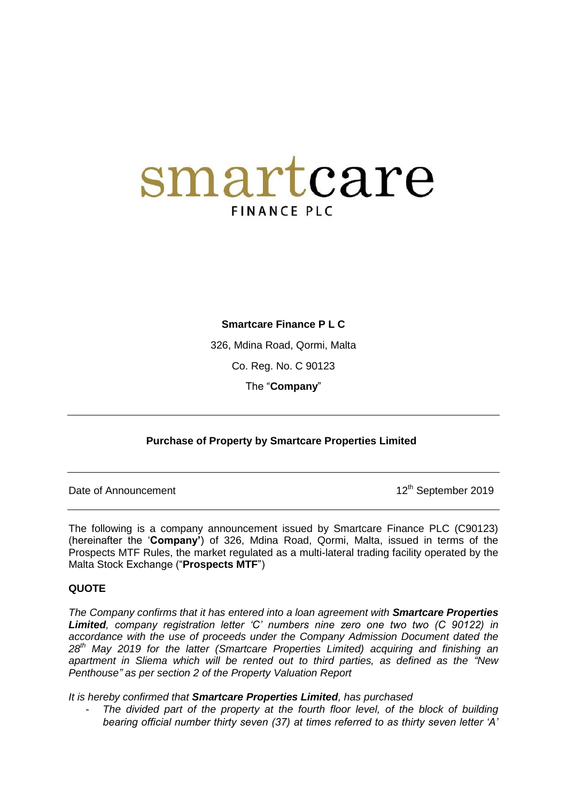## smartcare **FINANCE PLC**

**Smartcare Finance P L C**

326, Mdina Road, Qormi, Malta

Co. Reg. No. C 90123

The "**Company**"

## **Purchase of Property by Smartcare Properties Limited**

Date of Announcement 2019

The following is a company announcement issued by Smartcare Finance PLC (C90123) (hereinafter the "**Company'**) of 326, Mdina Road, Qormi, Malta, issued in terms of the Prospects MTF Rules, the market regulated as a multi-lateral trading facility operated by the Malta Stock Exchange ("**Prospects MTF**")

## **QUOTE**

*The Company confirms that it has entered into a loan agreement with Smartcare Properties Limited, company registration letter "C" numbers nine zero one two two (C 90122) in accordance with the use of proceeds under the Company Admission Document dated the 28th May 2019 for the latter (Smartcare Properties Limited) acquiring and finishing an apartment in Sliema which will be rented out to third parties, as defined as the "New Penthouse" as per section 2 of the Property Valuation Report* 

*It is hereby confirmed that Smartcare Properties Limited, has purchased*

- *The divided part of the property at the fourth floor level, of the block of building bearing official number thirty seven (37) at times referred to as thirty seven letter "A"*